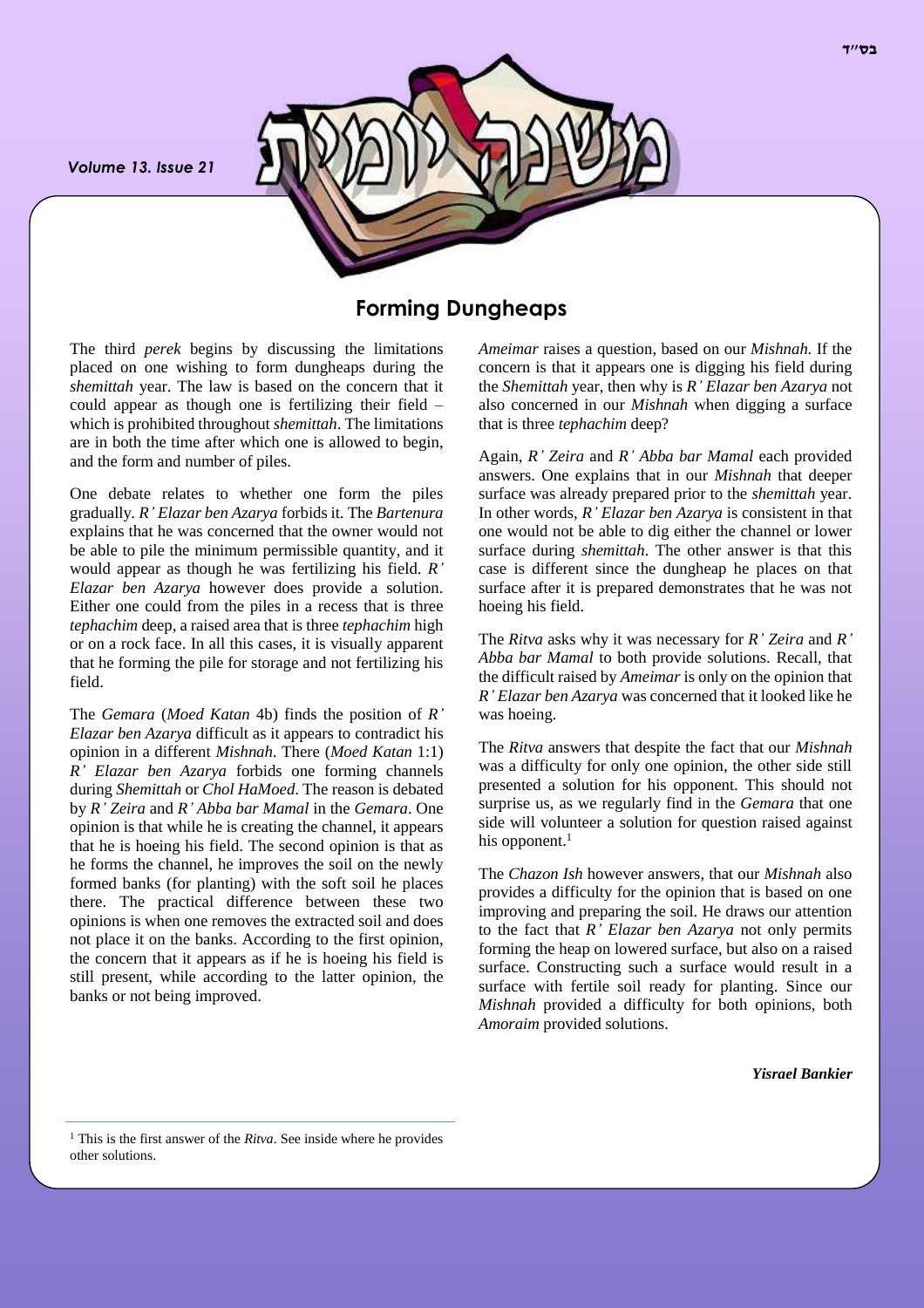*Volume 13. Issue 21*



## **Forming Dungheaps**

The third *perek* begins by discussing the limitations placed on one wishing to form dungheaps during the *shemittah* year. The law is based on the concern that it could appear as though one is fertilizing their field – which is prohibited throughout *shemittah*. The limitations are in both the time after which one is allowed to begin, and the form and number of piles.

One debate relates to whether one form the piles gradually. *R' Elazar ben Azarya* forbids it. The *Bartenura* explains that he was concerned that the owner would not be able to pile the minimum permissible quantity, and it would appear as though he was fertilizing his field. *R' Elazar ben Azarya* however does provide a solution. Either one could from the piles in a recess that is three *tephachim* deep, a raised area that is three *tephachim* high or on a rock face. In all this cases, it is visually apparent that he forming the pile for storage and not fertilizing his field.

The *Gemara* (*Moed Katan* 4b) finds the position of *R' Elazar ben Azarya* difficult as it appears to contradict his opinion in a different *Mishnah*. There (*Moed Katan* 1:1) *R' Elazar ben Azarya* forbids one forming channels during *Shemittah* or *Chol HaMoed*. The reason is debated by *R' Zeira* and *R' Abba bar Mamal* in the *Gemara*. One opinion is that while he is creating the channel, it appears that he is hoeing his field. The second opinion is that as he forms the channel, he improves the soil on the newly formed banks (for planting) with the soft soil he places there. The practical difference between these two opinions is when one removes the extracted soil and does not place it on the banks. According to the first opinion, the concern that it appears as if he is hoeing his field is still present, while according to the latter opinion, the banks or not being improved.

*Ameimar* raises a question, based on our *Mishnah*. If the concern is that it appears one is digging his field during the *Shemittah* year, then why is *R' Elazar ben Azarya* not also concerned in our *Mishnah* when digging a surface that is three *tephachim* deep?

Again, *R' Zeira* and *R' Abba bar Mamal* each provided answers. One explains that in our *Mishnah* that deeper surface was already prepared prior to the *shemittah* year. In other words, *R' Elazar ben Azarya* is consistent in that one would not be able to dig either the channel or lower surface during *shemittah*. The other answer is that this case is different since the dungheap he places on that surface after it is prepared demonstrates that he was not hoeing his field.

The *Ritva* asks why it was necessary for *R' Zeira* and *R' Abba bar Mamal* to both provide solutions. Recall, that the difficult raised by *Ameimar* is only on the opinion that *R' Elazar ben Azarya* was concerned that it looked like he was hoeing.

The *Ritva* answers that despite the fact that our *Mishnah* was a difficulty for only one opinion, the other side still presented a solution for his opponent. This should not surprise us, as we regularly find in the *Gemara* that one side will volunteer a solution for question raised against his opponent.<sup>1</sup>

The *Chazon Ish* however answers, that our *Mishnah* also provides a difficulty for the opinion that is based on one improving and preparing the soil. He draws our attention to the fact that *R' Elazar ben Azarya* not only permits forming the heap on lowered surface, but also on a raised surface. Constructing such a surface would result in a surface with fertile soil ready for planting. Since our *Mishnah* provided a difficulty for both opinions, both *Amoraim* provided solutions.

*Yisrael Bankier*

<sup>1</sup> This is the first answer of the *Ritva*. See inside where he provides other solutions.